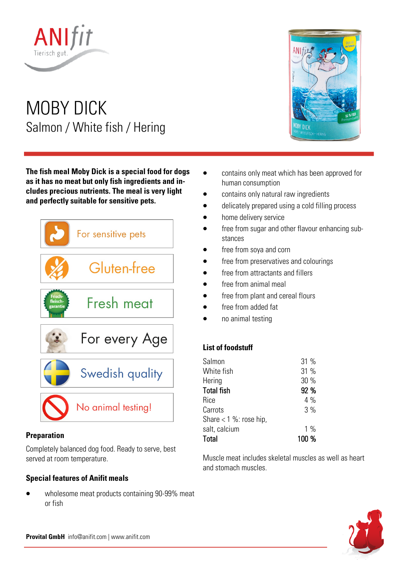

# MOBY DICK Salmon / White fish / Hering

**The fish meal Moby Dick is a special food for dogs as it has no meat but only fish ingredients and includes precious nutrients. The meal is very light and perfectly suitable for sensitive pets.** 



# **Preparation**

Completely balanced dog food. Ready to serve, best served at room temperature.

# **Special features of Anifit meals**

• wholesome meat products containing 90-99% meat or fish



- contains only meat which has been approved for human consumption
- contains only natural raw ingredients
- delicately prepared using a cold filling process
- home delivery service
- free from sugar and other flavour enhancing substances
- free from soya and corn
- free from preservatives and colourings
- free from attractants and fillers
- free from animal meal
- free from plant and cereal flours
- free from added fat
- no animal testing

# **List of foodstuff**

| Salmon                   | 31 %  |
|--------------------------|-------|
| White fish               | 31 %  |
| Hering                   | 30 %  |
| <b>Total fish</b>        | 92 %  |
| Rice                     | 4%    |
| Carrots                  | 3%    |
| Share $<$ 1 %: rose hip, |       |
| salt, calcium            | $1\%$ |
| Total                    | 100 % |

Muscle meat includes skeletal muscles as well as heart and stomach muscles.